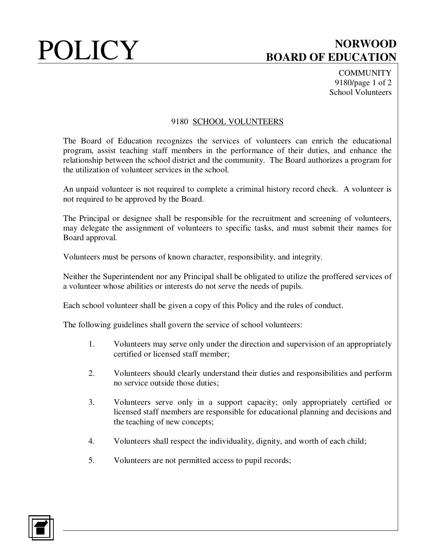## POLICY BOARD OF FOUCATION **BOARD OF EDUCATION**

**COMMUNITY** 9180/page 1 of 2 School Volunteers

## 9180 SCHOOL VOLUNTEERS

The Board of Education recognizes the services of volunteers can enrich the educational program, assist teaching staff members in the performance of their duties, and enhance the relationship between the school district and the community. The Board authorizes a program for the utilization of volunteer services in the school.

An unpaid volunteer is not required to complete a criminal history record check. A volunteer is not required to be approved by the Board.

The Principal or designee shall be responsible for the recruitment and screening of volunteers, may delegate the assignment of volunteers to specific tasks, and must submit their names for Board approval.

Volunteers must be persons of known character, responsibility, and integrity.

Neither the Superintendent nor any Principal shall be obligated to utilize the proffered services of a volunteer whose abilities or interests do not serve the needs of pupils.

Each school volunteer shall be given a copy of this Policy and the rules of conduct.

The following guidelines shall govern the service of school volunteers:

- 1. Volunteers may serve only under the direction and supervision of an appropriately certified or licensed staff member;
- 2. Volunteers should clearly understand their duties and responsibilities and perform no service outside those duties;
- 3. Volunteers serve only in a support capacity; only appropriately certified or licensed staff members are responsible for educational planning and decisions and the teaching of new concepts;
- 4. Volunteers shall respect the individuality, dignity, and worth of each child;
- 5. Volunteers are not permitted access to pupil records;